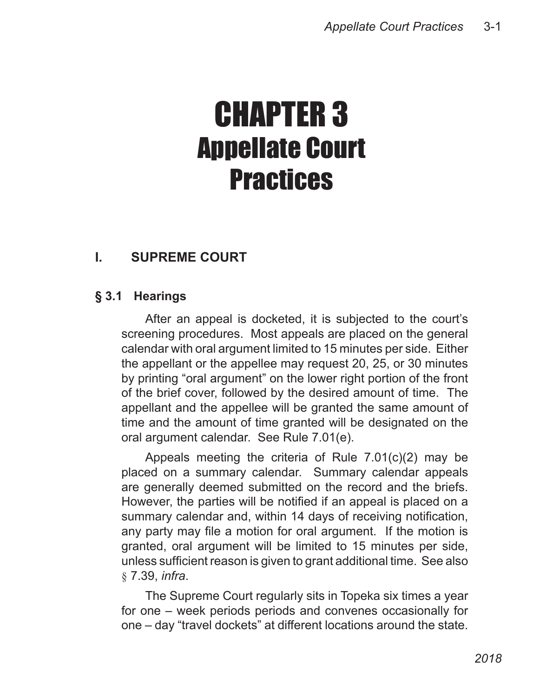# CHAPTER 3 Appellate Court **Practices**

# **I. SUPREME COURT**

## **§ 3.1 Hearings**

After an appeal is docketed, it is subjected to the court's screening procedures. Most appeals are placed on the general calendar with oral argument limited to 15 minutes per side. Either the appellant or the appellee may request 20, 25, or 30 minutes by printing "oral argument" on the lower right portion of the front of the brief cover, followed by the desired amount of time. The appellant and the appellee will be granted the same amount of time and the amount of time granted will be designated on the oral argument calendar. See Rule 7.01(e).

Appeals meeting the criteria of Rule 7.01(c)(2) may be placed on a summary calendar. Summary calendar appeals are generally deemed submitted on the record and the briefs. However, the parties will be notified if an appeal is placed on a summary calendar and, within 14 days of receiving notification, any party may file a motion for oral argument. If the motion is granted, oral argument will be limited to 15 minutes per side, unless sufficient reason is given to grant additional time. See also § 7.39, *infra*.

The Supreme Court regularly sits in Topeka six times a year for one – week periods periods and convenes occasionally for one – day "travel dockets" at different locations around the state.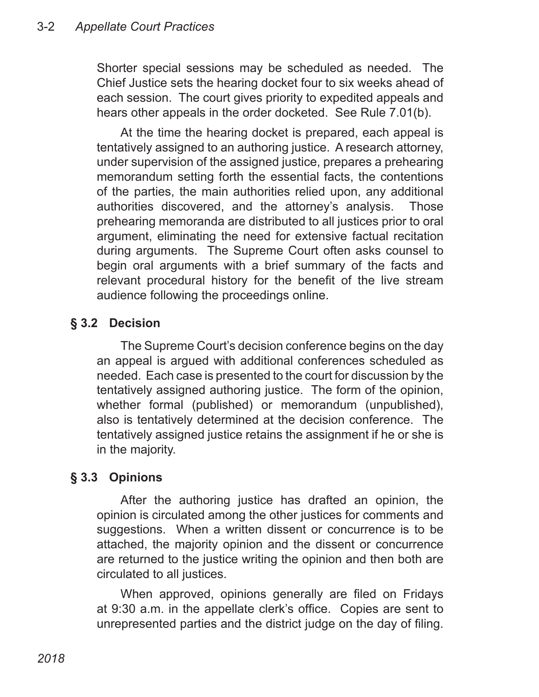Shorter special sessions may be scheduled as needed. The Chief Justice sets the hearing docket four to six weeks ahead of each session. The court gives priority to expedited appeals and hears other appeals in the order docketed. See Rule 7.01(b).

At the time the hearing docket is prepared, each appeal is tentatively assigned to an authoring justice. A research attorney, under supervision of the assigned justice, prepares a prehearing memorandum setting forth the essential facts, the contentions of the parties, the main authorities relied upon, any additional authorities discovered, and the attorney's analysis. Those prehearing memoranda are distributed to all justices prior to oral argument, eliminating the need for extensive factual recitation during arguments. The Supreme Court often asks counsel to begin oral arguments with a brief summary of the facts and relevant procedural history for the benefit of the live stream audience following the proceedings online.

## **§ 3.2 Decision**

The Supreme Court's decision conference begins on the day an appeal is argued with additional conferences scheduled as needed. Each case is presented to the court for discussion by the tentatively assigned authoring justice. The form of the opinion, whether formal (published) or memorandum (unpublished), also is tentatively determined at the decision conference. The tentatively assigned justice retains the assignment if he or she is in the majority.

## **§ 3.3 Opinions**

After the authoring justice has drafted an opinion, the opinion is circulated among the other justices for comments and suggestions. When a written dissent or concurrence is to be attached, the majority opinion and the dissent or concurrence are returned to the justice writing the opinion and then both are circulated to all justices.

When approved, opinions generally are filed on Fridays at 9:30 a.m. in the appellate clerk's office. Copies are sent to unrepresented parties and the district judge on the day of filing.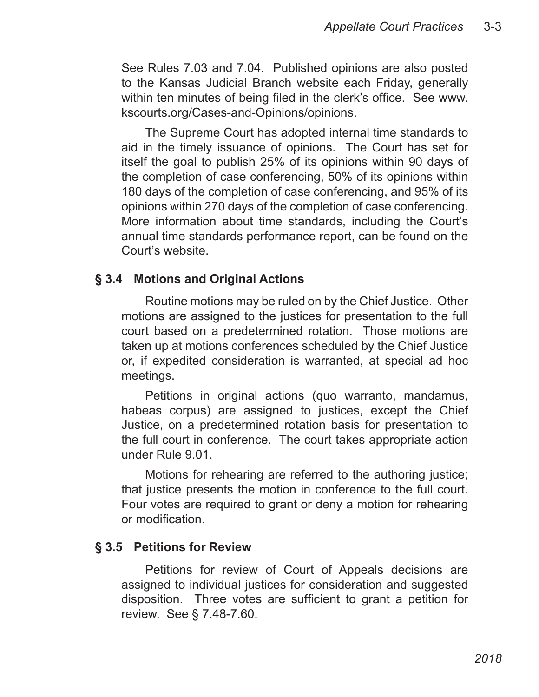See Rules 7.03 and 7.04. Published opinions are also posted to the Kansas Judicial Branch website each Friday, generally within ten minutes of being filed in the clerk's office. See www. kscourts.org/Cases-and-Opinions/opinions.

The Supreme Court has adopted internal time standards to aid in the timely issuance of opinions. The Court has set for itself the goal to publish 25% of its opinions within 90 days of the completion of case conferencing, 50% of its opinions within 180 days of the completion of case conferencing, and 95% of its opinions within 270 days of the completion of case conferencing. More information about time standards, including the Court's annual time standards performance report, can be found on the Court's website.

#### **§ 3.4 Motions and Original Actions**

Routine motions may be ruled on by the Chief Justice. Other motions are assigned to the justices for presentation to the full court based on a predetermined rotation. Those motions are taken up at motions conferences scheduled by the Chief Justice or, if expedited consideration is warranted, at special ad hoc meetings.

Petitions in original actions (quo warranto, mandamus, habeas corpus) are assigned to justices, except the Chief Justice, on a predetermined rotation basis for presentation to the full court in conference. The court takes appropriate action under Rule 9.01.

Motions for rehearing are referred to the authoring justice; that justice presents the motion in conference to the full court. Four votes are required to grant or deny a motion for rehearing or modification.

#### **§ 3.5 Petitions for Review**

Petitions for review of Court of Appeals decisions are assigned to individual justices for consideration and suggested disposition. Three votes are sufficient to grant a petition for review. See § 7.48-7.60.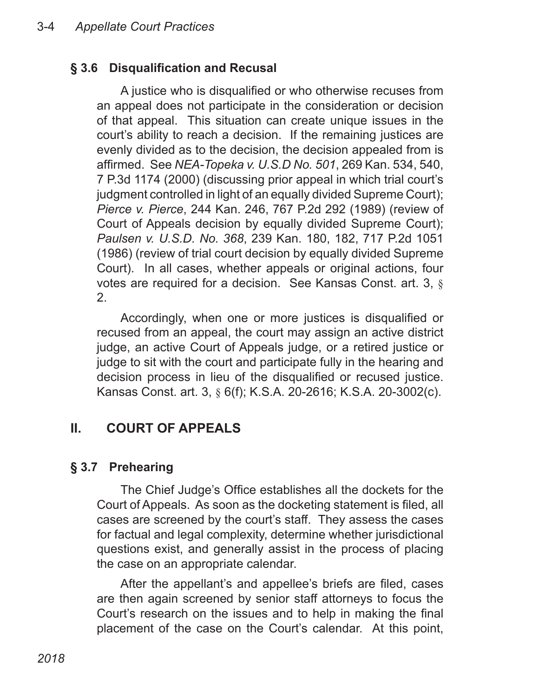## **§ 3.6 Disqualification and Recusal**

A justice who is disqualified or who otherwise recuses from an appeal does not participate in the consideration or decision of that appeal. This situation can create unique issues in the court's ability to reach a decision. If the remaining justices are evenly divided as to the decision, the decision appealed from is affirmed. See *NEA-Topeka v. U.S.D No. 501*, 269 Kan. 534, 540, 7 P.3d 1174 (2000) (discussing prior appeal in which trial court's judgment controlled in light of an equally divided Supreme Court); *Pierce v. Pierce*, 244 Kan. 246, 767 P.2d 292 (1989) (review of Court of Appeals decision by equally divided Supreme Court); *Paulsen v. U.S.D. No. 368*, 239 Kan. 180, 182, 717 P.2d 1051 (1986) (review of trial court decision by equally divided Supreme Court). In all cases, whether appeals or original actions, four votes are required for a decision. See Kansas Const. art. 3, § 2.

Accordingly, when one or more justices is disqualified or recused from an appeal, the court may assign an active district judge, an active Court of Appeals judge, or a retired justice or judge to sit with the court and participate fully in the hearing and decision process in lieu of the disqualified or recused justice. Kansas Const. art. 3, § 6(f); K.S.A. 20-2616; K.S.A. 20-3002(c).

## **II. COURT OF APPEALS**

#### **§ 3.7 Prehearing**

The Chief Judge's Office establishes all the dockets for the Court of Appeals. As soon as the docketing statement is filed, all cases are screened by the court's staff. They assess the cases for factual and legal complexity, determine whether jurisdictional questions exist, and generally assist in the process of placing the case on an appropriate calendar.

After the appellant's and appellee's briefs are filed, cases are then again screened by senior staff attorneys to focus the Court's research on the issues and to help in making the final placement of the case on the Court's calendar. At this point,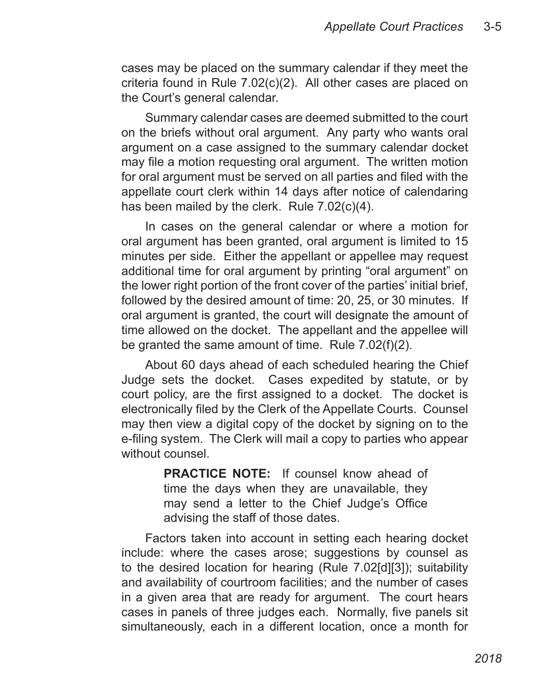cases may be placed on the summary calendar if they meet the criteria found in Rule 7.02(c)(2). All other cases are placed on the Court's general calendar.

Summary calendar cases are deemed submitted to the court on the briefs without oral argument. Any party who wants oral argument on a case assigned to the summary calendar docket may file a motion requesting oral argument. The written motion for oral argument must be served on all parties and filed with the appellate court clerk within 14 days after notice of calendaring has been mailed by the clerk. Rule 7.02(c)(4).

In cases on the general calendar or where a motion for oral argument has been granted, oral argument is limited to 15 minutes per side. Either the appellant or appellee may request additional time for oral argument by printing "oral argument" on the lower right portion of the front cover of the parties' initial brief, followed by the desired amount of time: 20, 25, or 30 minutes. If oral argument is granted, the court will designate the amount of time allowed on the docket. The appellant and the appellee will be granted the same amount of time. Rule 7.02(f)(2).

About 60 days ahead of each scheduled hearing the Chief Judge sets the docket. Cases expedited by statute, or by court policy, are the first assigned to a docket. The docket is electronically filed by the Clerk of the Appellate Courts. Counsel may then view a digital copy of the docket by signing on to the e-filing system. The Clerk will mail a copy to parties who appear without counsel.

> **PRACTICE NOTE:** If counsel know ahead of time the days when they are unavailable, they may send a letter to the Chief Judge's Office advising the staff of those dates.

Factors taken into account in setting each hearing docket include: where the cases arose; suggestions by counsel as to the desired location for hearing (Rule 7.02[d][3]); suitability and availability of courtroom facilities; and the number of cases in a given area that are ready for argument. The court hears cases in panels of three judges each. Normally, five panels sit simultaneously, each in a different location, once a month for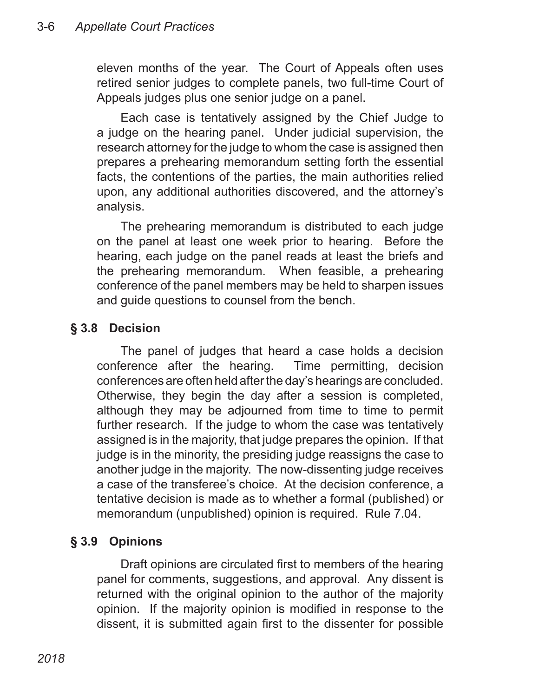eleven months of the year. The Court of Appeals often uses retired senior judges to complete panels, two full-time Court of Appeals judges plus one senior judge on a panel.

Each case is tentatively assigned by the Chief Judge to a judge on the hearing panel. Under judicial supervision, the research attorney for the judge to whom the case is assigned then prepares a prehearing memorandum setting forth the essential facts, the contentions of the parties, the main authorities relied upon, any additional authorities discovered, and the attorney's analysis.

The prehearing memorandum is distributed to each judge on the panel at least one week prior to hearing. Before the hearing, each judge on the panel reads at least the briefs and the prehearing memorandum. When feasible, a prehearing conference of the panel members may be held to sharpen issues and guide questions to counsel from the bench.

#### **§ 3.8 Decision**

The panel of judges that heard a case holds a decision conference after the hearing. Time permitting, decision conferences are often held after the day's hearings are concluded. Otherwise, they begin the day after a session is completed, although they may be adjourned from time to time to permit further research. If the judge to whom the case was tentatively assigned is in the majority, that judge prepares the opinion. If that judge is in the minority, the presiding judge reassigns the case to another judge in the majority. The now-dissenting judge receives a case of the transferee's choice. At the decision conference, a tentative decision is made as to whether a formal (published) or memorandum (unpublished) opinion is required. Rule 7.04.

## **§ 3.9 Opinions**

Draft opinions are circulated first to members of the hearing panel for comments, suggestions, and approval. Any dissent is returned with the original opinion to the author of the majority opinion. If the majority opinion is modified in response to the dissent, it is submitted again first to the dissenter for possible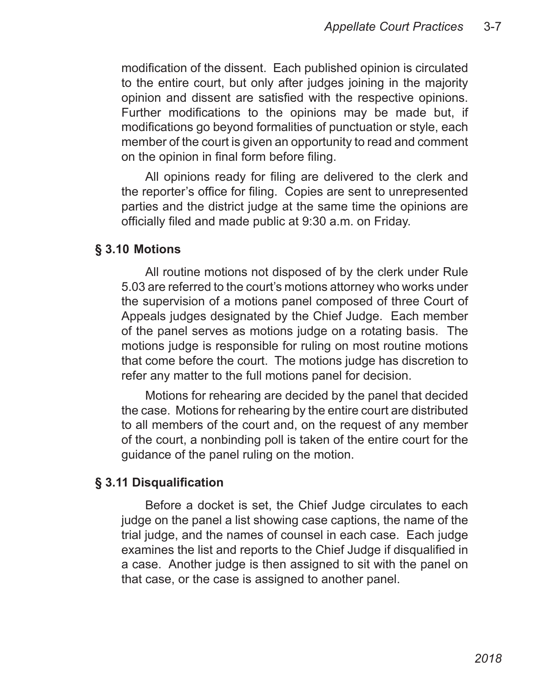modification of the dissent. Each published opinion is circulated to the entire court, but only after judges joining in the majority opinion and dissent are satisfied with the respective opinions. Further modifications to the opinions may be made but, if modifications go beyond formalities of punctuation or style, each member of the court is given an opportunity to read and comment on the opinion in final form before filing.

All opinions ready for filing are delivered to the clerk and the reporter's office for filing. Copies are sent to unrepresented parties and the district judge at the same time the opinions are officially filed and made public at 9:30 a.m. on Friday.

#### **§ 3.10 Motions**

All routine motions not disposed of by the clerk under Rule 5.03 are referred to the court's motions attorney who works under the supervision of a motions panel composed of three Court of Appeals judges designated by the Chief Judge. Each member of the panel serves as motions judge on a rotating basis. The motions judge is responsible for ruling on most routine motions that come before the court. The motions judge has discretion to refer any matter to the full motions panel for decision.

Motions for rehearing are decided by the panel that decided the case. Motions for rehearing by the entire court are distributed to all members of the court and, on the request of any member of the court, a nonbinding poll is taken of the entire court for the guidance of the panel ruling on the motion.

#### **§ 3.11 Disqualification**

Before a docket is set, the Chief Judge circulates to each judge on the panel a list showing case captions, the name of the trial judge, and the names of counsel in each case. Each judge examines the list and reports to the Chief Judge if disqualified in a case. Another judge is then assigned to sit with the panel on that case, or the case is assigned to another panel.